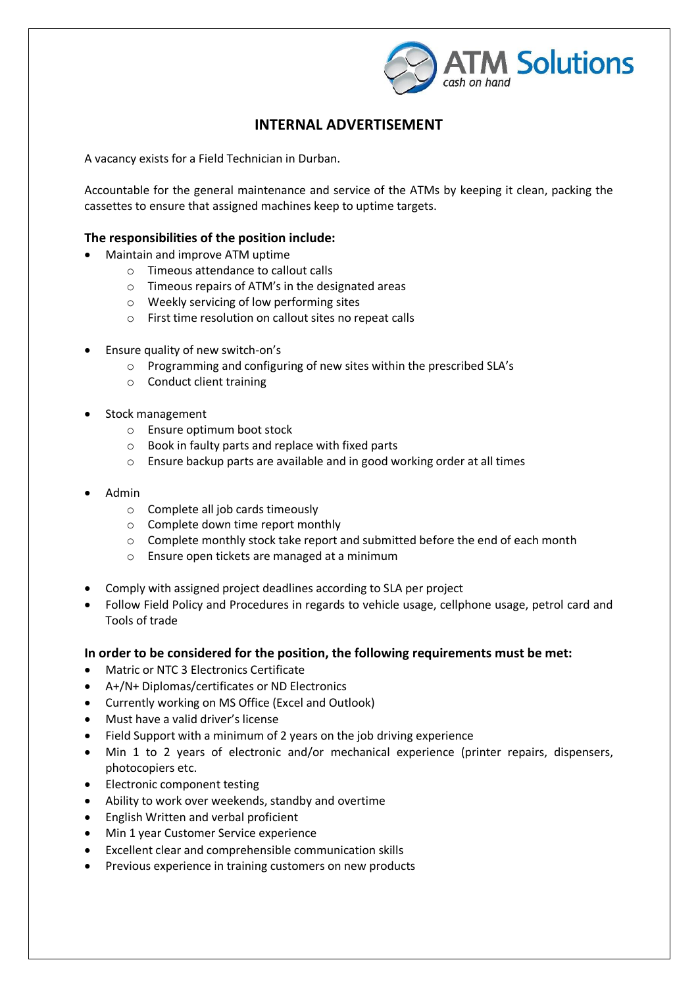

## **INTERNAL ADVERTISEMENT**

A vacancy exists for a Field Technician in Durban.

Accountable for the general maintenance and service of the ATMs by keeping it clean, packing the cassettes to ensure that assigned machines keep to uptime targets.

## **The responsibilities of the position include:**

- Maintain and improve ATM uptime
	- o Timeous attendance to callout calls
	- o Timeous repairs of ATM's in the designated areas
	- o Weekly servicing of low performing sites
	- o First time resolution on callout sites no repeat calls
- Ensure quality of new switch-on's
	- o Programming and configuring of new sites within the prescribed SLA's
	- o Conduct client training
- Stock management
	- o Ensure optimum boot stock
	- o Book in faulty parts and replace with fixed parts
	- o Ensure backup parts are available and in good working order at all times
- Admin
	- o Complete all job cards timeously
	- o Complete down time report monthly
	- o Complete monthly stock take report and submitted before the end of each month
	- o Ensure open tickets are managed at a minimum
- Comply with assigned project deadlines according to SLA per project
- Follow Field Policy and Procedures in regards to vehicle usage, cellphone usage, petrol card and Tools of trade

## **In order to be considered for the position, the following requirements must be met:**

- Matric or NTC 3 Electronics Certificate
- A+/N+ Diplomas/certificates or ND Electronics
- Currently working on MS Office (Excel and Outlook)
- Must have a valid driver's license
- Field Support with a minimum of 2 years on the job driving experience
- Min 1 to 2 years of electronic and/or mechanical experience (printer repairs, dispensers, photocopiers etc.
- Electronic component testing
- Ability to work over weekends, standby and overtime
- **•** English Written and verbal proficient
- Min 1 year Customer Service experience
- Excellent clear and comprehensible communication skills
- Previous experience in training customers on new products